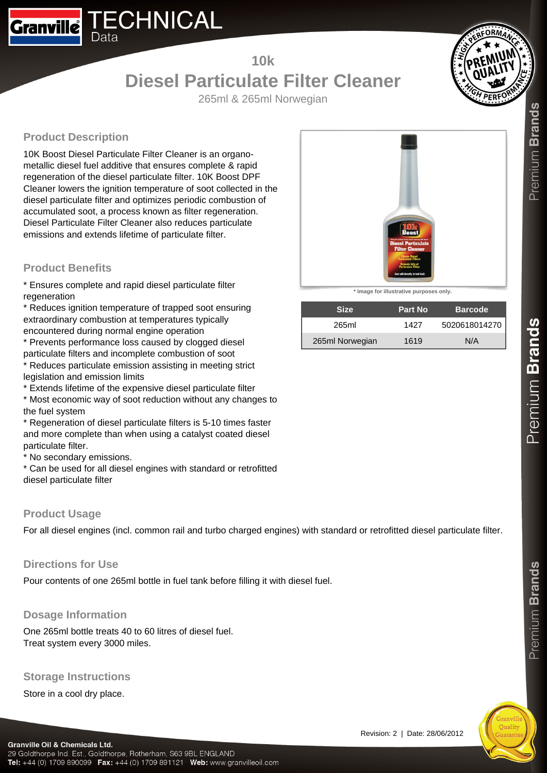

# **10k**

# **Diesel Particulate Filter Cleaner** 265ml & 265ml Norwegian



Premium Brands

**Product Description**

10K Boost Diesel Particulate Filter Cleaner is an organometallic diesel fuel additive that ensures complete & rapid regeneration of the diesel particulate filter. 10K Boost DPF Cleaner lowers the ignition temperature of soot collected in the diesel particulate filter and optimizes periodic combustion of accumulated soot, a process known as filter regeneration. Diesel Particulate Filter Cleaner also reduces particulate emissions and extends lifetime of particulate filter.

# **Product Benefits**

\* Ensures complete and rapid diesel particulate filter regeneration

\* Reduces ignition temperature of trapped soot ensuring extraordinary combustion at temperatures typically encountered during normal engine operation

\* Prevents performance loss caused by clogged diesel particulate filters and incomplete combustion of soot

\* Reduces particulate emission assisting in meeting strict legislation and emission limits

\* Extends lifetime of the expensive diesel particulate filter

\* Most economic way of soot reduction without any changes to the fuel system

\* Regeneration of diesel particulate filters is 5-10 times faster and more complete than when using a catalyst coated diesel particulate filter.

\* No secondary emissions.

\* Can be used for all diesel engines with standard or retrofitted diesel particulate filter

#### **Product Usage**

For all diesel engines (incl. common rail and turbo charged engines) with standard or retrofitted diesel particulate filter.

### **Directions for Use**

Pour contents of one 265ml bottle in fuel tank before filling it with diesel fuel.

### **Dosage Information**

One 265ml bottle treats 40 to 60 litres of diesel fuel. Treat system every 3000 miles.

#### **Storage Instructions**

Store in a cool dry place.



**\* Image for illustrative purposes only.**

| <b>Size</b>     | Part No | <b>Barcode</b> |
|-----------------|---------|----------------|
| 265ml           | 1427    | 5020618014270  |
| 265ml Norwegian | 1619    | N/A            |